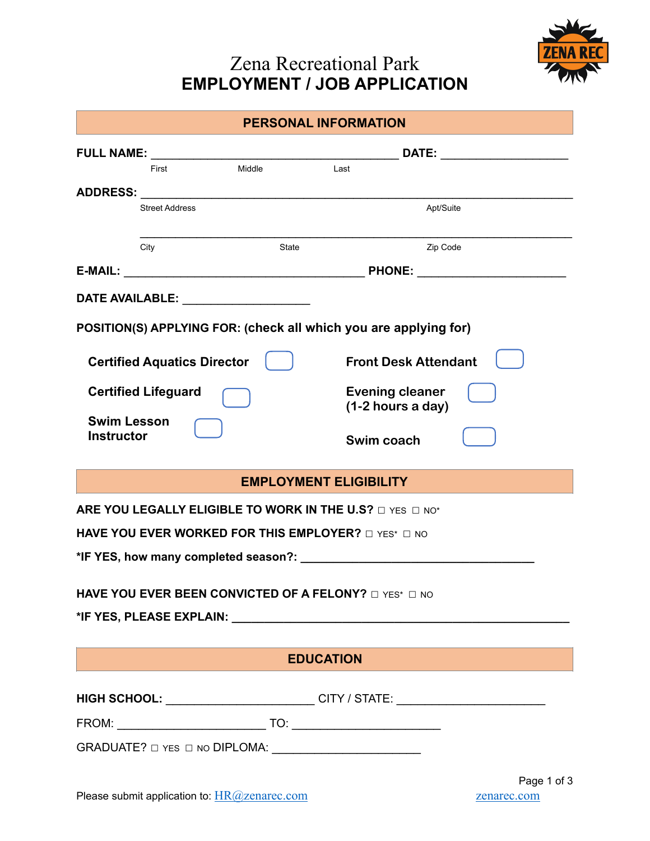## Zena Recreational Park **EMPLOYMENT / JOB APPLICATION**



| <b>PERSONAL INFORMATION</b>                                                                                                     |        |                                                                                                                                                                                                                                |  |  |
|---------------------------------------------------------------------------------------------------------------------------------|--------|--------------------------------------------------------------------------------------------------------------------------------------------------------------------------------------------------------------------------------|--|--|
|                                                                                                                                 |        | DATE: _________________                                                                                                                                                                                                        |  |  |
| First                                                                                                                           | Middle | Last                                                                                                                                                                                                                           |  |  |
| <b>Street Address</b>                                                                                                           |        | Apt/Suite                                                                                                                                                                                                                      |  |  |
|                                                                                                                                 |        |                                                                                                                                                                                                                                |  |  |
| City                                                                                                                            | State  | Zip Code                                                                                                                                                                                                                       |  |  |
|                                                                                                                                 |        | PHONE: __________________________                                                                                                                                                                                              |  |  |
| DATE AVAILABLE: THE STATE OF THE STATE OF THE STATE OF THE STATE OF THE STATE OF THE STATE OF THE STATE OF THE                  |        |                                                                                                                                                                                                                                |  |  |
|                                                                                                                                 |        | POSITION(S) APPLYING FOR: (check all which you are applying for)                                                                                                                                                               |  |  |
|                                                                                                                                 |        |                                                                                                                                                                                                                                |  |  |
| <b>Certified Aquatics Director</b>                                                                                              |        | <b>Front Desk Attendant</b>                                                                                                                                                                                                    |  |  |
| <b>Certified Lifeguard</b>                                                                                                      |        | <b>Evening cleaner</b><br>(1-2 hours a day)                                                                                                                                                                                    |  |  |
| <b>Swim Lesson</b>                                                                                                              |        |                                                                                                                                                                                                                                |  |  |
| <b>Instructor</b>                                                                                                               |        | Swim coach                                                                                                                                                                                                                     |  |  |
|                                                                                                                                 |        | <b>EMPLOYMENT ELIGIBILITY</b>                                                                                                                                                                                                  |  |  |
|                                                                                                                                 |        | ARE YOU LEGALLY ELIGIBLE TO WORK IN THE U.S? $\square$ YES $\square$ NO*                                                                                                                                                       |  |  |
| HAVE YOU EVER WORKED FOR THIS EMPLOYER? $\Box$ YES* $\Box$ NO                                                                   |        |                                                                                                                                                                                                                                |  |  |
| *IF YES, how many completed season?:                                                                                            |        |                                                                                                                                                                                                                                |  |  |
|                                                                                                                                 |        |                                                                                                                                                                                                                                |  |  |
| HAVE YOU EVER BEEN CONVICTED OF A FELONY? $\Box$ YES* $\Box$ NO                                                                 |        |                                                                                                                                                                                                                                |  |  |
|                                                                                                                                 |        | *IF YES, PLEASE EXPLAIN: Network and the set of the set of the set of the set of the set of the set of the set of the set of the set of the set of the set of the set of the set of the set of the set of the set of the set o |  |  |
|                                                                                                                                 |        | <b>EDUCATION</b>                                                                                                                                                                                                               |  |  |
| $\mathcal{L}^{\text{max}}_{\text{max}}$ and $\mathcal{L}^{\text{max}}_{\text{max}}$ and $\mathcal{L}^{\text{max}}_{\text{max}}$ |        |                                                                                                                                                                                                                                |  |  |
|                                                                                                                                 |        | HIGH SCHOOL: _________________________CITY / STATE: ____________________________                                                                                                                                               |  |  |
|                                                                                                                                 |        |                                                                                                                                                                                                                                |  |  |
|                                                                                                                                 |        |                                                                                                                                                                                                                                |  |  |
|                                                                                                                                 |        | Page 1 of 3                                                                                                                                                                                                                    |  |  |
| Please submit application to: HR@zenarec.com                                                                                    |        | zenarec.com                                                                                                                                                                                                                    |  |  |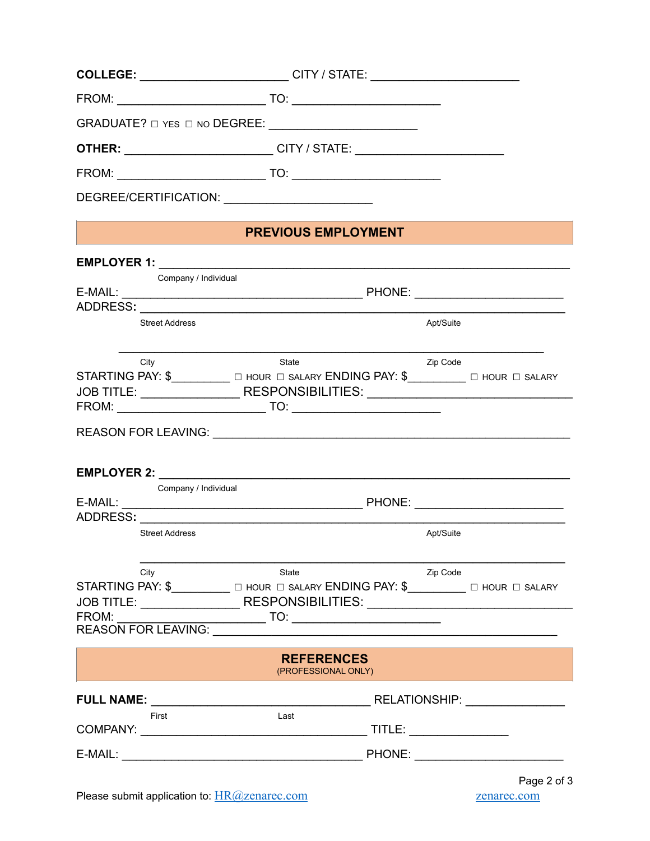|                            | COLLEGE: ___________________________CITY / STATE: ______________________________                                                                                                                                                                                                           |                                          |                          |
|----------------------------|--------------------------------------------------------------------------------------------------------------------------------------------------------------------------------------------------------------------------------------------------------------------------------------------|------------------------------------------|--------------------------|
|                            |                                                                                                                                                                                                                                                                                            |                                          |                          |
|                            |                                                                                                                                                                                                                                                                                            |                                          |                          |
|                            | <b>OTHER:</b> ____________________________CITY / STATE: ______________________________                                                                                                                                                                                                     |                                          |                          |
|                            |                                                                                                                                                                                                                                                                                            |                                          |                          |
|                            |                                                                                                                                                                                                                                                                                            |                                          |                          |
|                            |                                                                                                                                                                                                                                                                                            | <b>PREVIOUS EMPLOYMENT</b>               |                          |
|                            |                                                                                                                                                                                                                                                                                            |                                          |                          |
|                            | Company / Individual                                                                                                                                                                                                                                                                       |                                          |                          |
|                            | <b>Street Address</b>                                                                                                                                                                                                                                                                      | Apt/Suite                                |                          |
| City                       | State<br>STARTING PAY: \$____________ O HOUR O SALARY ENDING PAY: \$__________ O HOUR O SALARY<br>JOB TITLE: ___________________RESPONSIBILITIES: ________________________________<br>$FROM:$ $TO:$                                                                                        | Zip Code                                 |                          |
|                            | REASON FOR LEAVING: University of the ASSON FOR LEAVING:<br>EMPLOYER 2: New York State State State State State State State State State State State State State State State State State State State State State State State State State State State State State State State State State Sta |                                          |                          |
|                            | Company / Individual                                                                                                                                                                                                                                                                       |                                          |                          |
| ADDRESS:                   | <b>Street Address</b>                                                                                                                                                                                                                                                                      | Apt/Suite                                |                          |
| City<br>FROM:              | State<br>STARTING PAY: \$___________ O HOUR O SALARY ENDING PAY: \$_________ O HOUR O SALARY<br>JOB TITLE: ________________________RESPONSIBILITIES: ___________________________<br><b>REASON FOR LEAVING:</b>                                                                             | Zip Code                                 |                          |
|                            |                                                                                                                                                                                                                                                                                            | <b>REFERENCES</b><br>(PROFESSIONAL ONLY) |                          |
| <b>FULL NAME:</b><br>First | Last                                                                                                                                                                                                                                                                                       | TITLE: ________________                  | RELATIONSHIP: NATIONALLY |
|                            |                                                                                                                                                                                                                                                                                            |                                          |                          |
|                            |                                                                                                                                                                                                                                                                                            |                                          |                          |